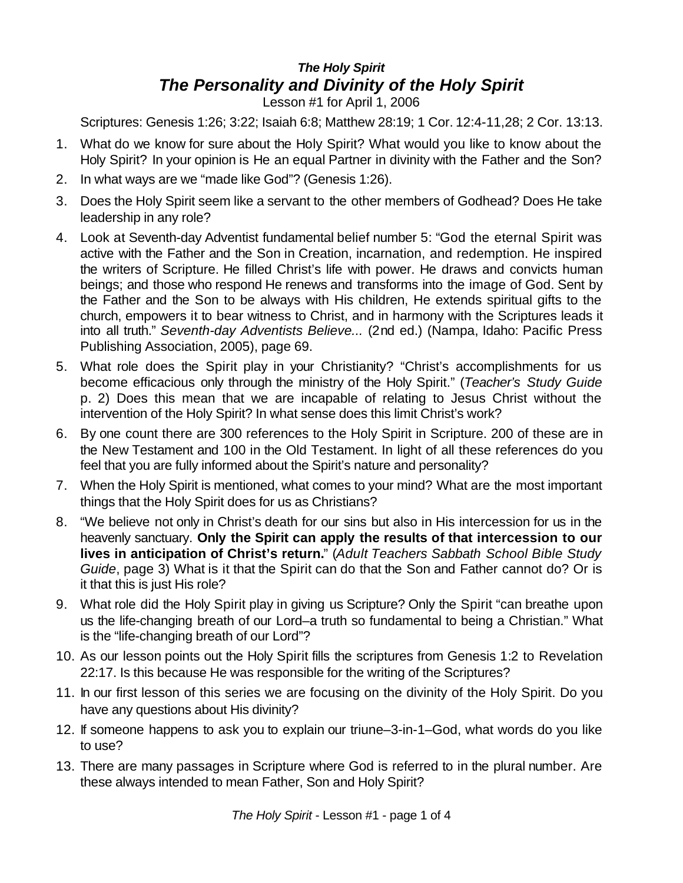## *The Holy Spirit The Personality and Divinity of the Holy Spirit*

Lesson #1 for April 1, 2006

Scriptures: Genesis 1:26; 3:22; Isaiah 6:8; Matthew 28:19; 1 Cor. 12:4-11,28; 2 Cor. 13:13.

- 1. What do we know for sure about the Holy Spirit? What would you like to know about the Holy Spirit? In your opinion is He an equal Partner in divinity with the Father and the Son?
- 2. In what ways are we "made like God"? (Genesis 1:26).
- 3. Does the Holy Spirit seem like a servant to the other members of Godhead? Does He take leadership in any role?
- 4. Look at Seventh-day Adventist fundamental belief number 5: "God the eternal Spirit was active with the Father and the Son in Creation, incarnation, and redemption. He inspired the writers of Scripture. He filled Christ's life with power. He draws and convicts human beings; and those who respond He renews and transforms into the image of God. Sent by the Father and the Son to be always with His children, He extends spiritual gifts to the church, empowers it to bear witness to Christ, and in harmony with the Scriptures leads it into all truth." *Seventh-day Adventists Believe...* (2nd ed.) (Nampa, Idaho: Pacific Press Publishing Association, 2005), page 69.
- 5. What role does the Spirit play in your Christianity? "Christ's accomplishments for us become efficacious only through the ministry of the Holy Spirit." (*Teacher's Study Guide* p. 2) Does this mean that we are incapable of relating to Jesus Christ without the intervention of the Holy Spirit? In what sense does this limit Christ's work?
- 6. By one count there are 300 references to the Holy Spirit in Scripture. 200 of these are in the New Testament and 100 in the Old Testament. In light of all these references do you feel that you are fully informed about the Spirit's nature and personality?
- 7. When the Holy Spirit is mentioned, what comes to your mind? What are the most important things that the Holy Spirit does for us as Christians?
- 8. "We believe not only in Christ's death for our sins but also in His intercession for us in the heavenly sanctuary. **Only the Spirit can apply the results of that intercession to our lives in anticipation of Christ's return.**" (*Adult Teachers Sabbath School Bible Study Guide*, page 3) What is it that the Spirit can do that the Son and Father cannot do? Or is it that this is just His role?
- 9. What role did the Holy Spirit play in giving us Scripture? Only the Spirit "can breathe upon us the life-changing breath of our Lord–a truth so fundamental to being a Christian." What is the "life-changing breath of our Lord"?
- 10. As our lesson points out the Holy Spirit fills the scriptures from Genesis 1:2 to Revelation 22:17. Is this because He was responsible for the writing of the Scriptures?
- 11. In our first lesson of this series we are focusing on the divinity of the Holy Spirit. Do you have any questions about His divinity?
- 12. If someone happens to ask you to explain our triune–3-in-1–God, what words do you like to use?
- 13. There are many passages in Scripture where God is referred to in the plural number. Are these always intended to mean Father, Son and Holy Spirit?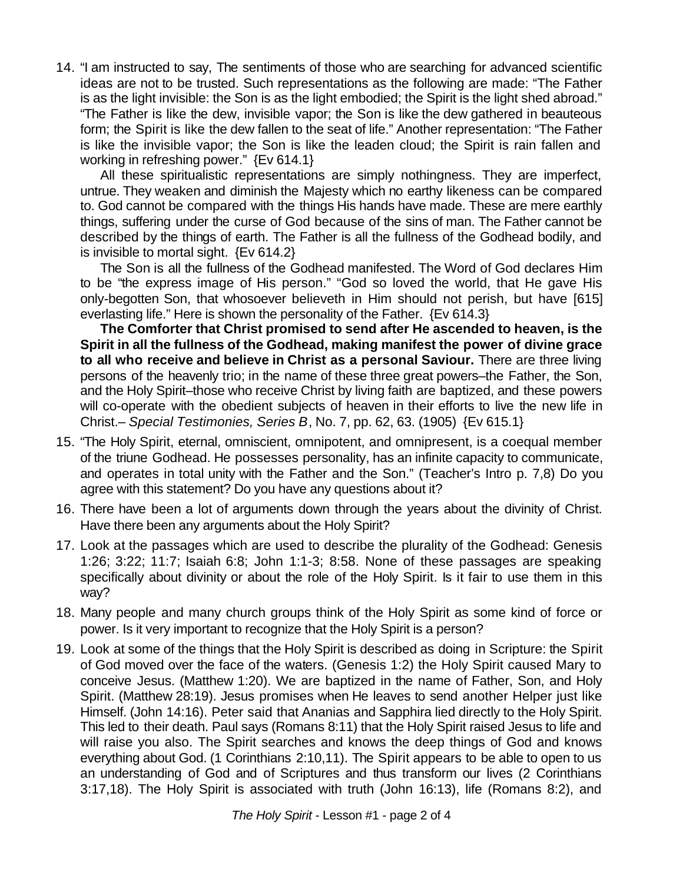14. "I am instructed to say, The sentiments of those who are searching for advanced scientific ideas are not to be trusted. Such representations as the following are made: "The Father is as the light invisible: the Son is as the light embodied; the Spirit is the light shed abroad." "The Father is like the dew, invisible vapor; the Son is like the dew gathered in beauteous form; the Spirit is like the dew fallen to the seat of life." Another representation: "The Father is like the invisible vapor; the Son is like the leaden cloud; the Spirit is rain fallen and working in refreshing power." {Ev 614.1}

All these spiritualistic representations are simply nothingness. They are imperfect, untrue. They weaken and diminish the Majesty which no earthy likeness can be compared to. God cannot be compared with the things His hands have made. These are mere earthly things, suffering under the curse of God because of the sins of man. The Father cannot be described by the things of earth. The Father is all the fullness of the Godhead bodily, and is invisible to mortal sight. {Ev 614.2}

The Son is all the fullness of the Godhead manifested. The Word of God declares Him to be "the express image of His person." "God so loved the world, that He gave His only-begotten Son, that whosoever believeth in Him should not perish, but have [615] everlasting life." Here is shown the personality of the Father. {Ev 614.3}

**The Comforter that Christ promised to send after He ascended to heaven, is the Spirit in all the fullness of the Godhead, making manifest the power of divine grace to all who receive and believe in Christ as a personal Saviour.** There are three living persons of the heavenly trio; in the name of these three great powers–the Father, the Son, and the Holy Spirit–those who receive Christ by living faith are baptized, and these powers will co-operate with the obedient subjects of heaven in their efforts to live the new life in Christ.– *Special Testimonies, Series B*, No. 7, pp. 62, 63. (1905) {Ev 615.1}

- 15. "The Holy Spirit, eternal, omniscient, omnipotent, and omnipresent, is a coequal member of the triune Godhead. He possesses personality, has an infinite capacity to communicate, and operates in total unity with the Father and the Son." (Teacher's Intro p. 7,8) Do you agree with this statement? Do you have any questions about it?
- 16. There have been a lot of arguments down through the years about the divinity of Christ. Have there been any arguments about the Holy Spirit?
- 17. Look at the passages which are used to describe the plurality of the Godhead: Genesis 1:26; 3:22; 11:7; Isaiah 6:8; John 1:1-3; 8:58. None of these passages are speaking specifically about divinity or about the role of the Holy Spirit. Is it fair to use them in this way?
- 18. Many people and many church groups think of the Holy Spirit as some kind of force or power. Is it very important to recognize that the Holy Spirit is a person?
- 19. Look at some of the things that the Holy Spirit is described as doing in Scripture: the Spirit of God moved over the face of the waters. (Genesis 1:2) the Holy Spirit caused Mary to conceive Jesus. (Matthew 1:20). We are baptized in the name of Father, Son, and Holy Spirit. (Matthew 28:19). Jesus promises when He leaves to send another Helper just like Himself. (John 14:16). Peter said that Ananias and Sapphira lied directly to the Holy Spirit. This led to their death. Paul says (Romans 8:11) that the Holy Spirit raised Jesus to life and will raise you also. The Spirit searches and knows the deep things of God and knows everything about God. (1 Corinthians 2:10,11). The Spirit appears to be able to open to us an understanding of God and of Scriptures and thus transform our lives (2 Corinthians 3:17,18). The Holy Spirit is associated with truth (John 16:13), life (Romans 8:2), and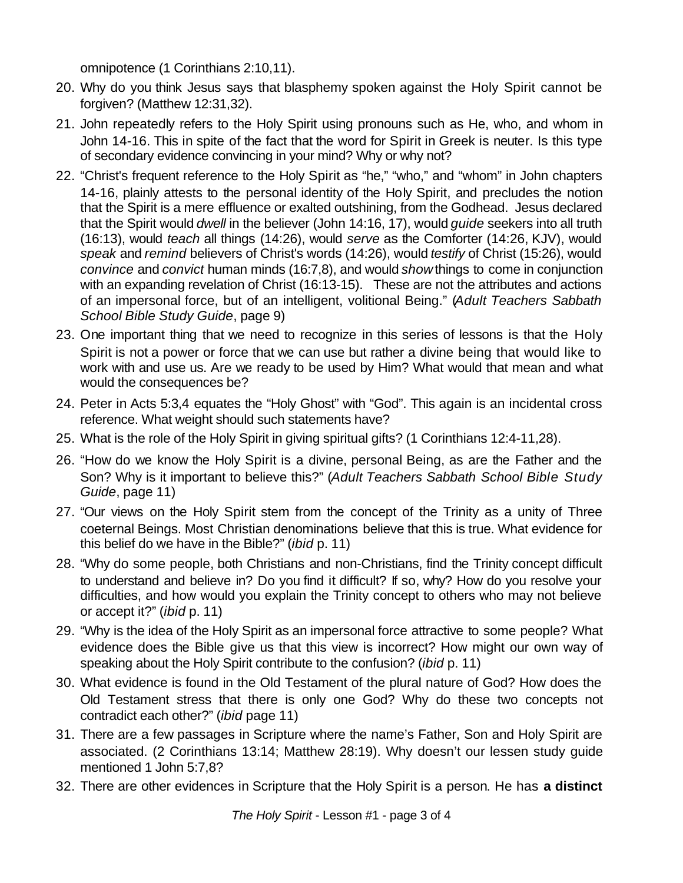omnipotence (1 Corinthians 2:10,11).

- 20. Why do you think Jesus says that blasphemy spoken against the Holy Spirit cannot be forgiven? (Matthew 12:31,32).
- 21. John repeatedly refers to the Holy Spirit using pronouns such as He, who, and whom in John 14-16. This in spite of the fact that the word for Spirit in Greek is neuter. Is this type of secondary evidence convincing in your mind? Why or why not?
- 22. "Christ's frequent reference to the Holy Spirit as "he," "who," and "whom" in John chapters 14-16, plainly attests to the personal identity of the Holy Spirit, and precludes the notion that the Spirit is a mere effluence or exalted outshining, from the Godhead. Jesus declared that the Spirit would *dwell* in the believer (John 14:16, 17), would *guide* seekers into all truth (16:13), would *teach* all things (14:26), would *serve* as the Comforter (14:26, KJV), would *speak* and *remind* believers of Christ's words (14:26), would *testify* of Christ (15:26), would *convince* and *convict* human minds (16:7,8), and would *show*things to come in conjunction with an expanding revelation of Christ (16:13-15). These are not the attributes and actions of an impersonal force, but of an intelligent, volitional Being." (*Adult Teachers Sabbath School Bible Study Guide*, page 9)
- 23. One important thing that we need to recognize in this series of lessons is that the Holy Spirit is not a power or force that we can use but rather a divine being that would like to work with and use us. Are we ready to be used by Him? What would that mean and what would the consequences be?
- 24. Peter in Acts 5:3,4 equates the "Holy Ghost" with "God". This again is an incidental cross reference. What weight should such statements have?
- 25. What is the role of the Holy Spirit in giving spiritual gifts? (1 Corinthians 12:4-11,28).
- 26. "How do we know the Holy Spirit is a divine, personal Being, as are the Father and the Son? Why is it important to believe this?" (*Adult Teachers Sabbath School Bible Study Guide*, page 11)
- 27. "Our views on the Holy Spirit stem from the concept of the Trinity as a unity of Three coeternal Beings. Most Christian denominations believe that this is true. What evidence for this belief do we have in the Bible?" (*ibid* p. 11)
- 28. "Why do some people, both Christians and non-Christians, find the Trinity concept difficult to understand and believe in? Do you find it difficult? If so, why? How do you resolve your difficulties, and how would you explain the Trinity concept to others who may not believe or accept it?" (*ibid* p. 11)
- 29. "Why is the idea of the Holy Spirit as an impersonal force attractive to some people? What evidence does the Bible give us that this view is incorrect? How might our own way of speaking about the Holy Spirit contribute to the confusion? (*ibid* p. 11)
- 30. What evidence is found in the Old Testament of the plural nature of God? How does the Old Testament stress that there is only one God? Why do these two concepts not contradict each other?" (*ibid* page 11)
- 31. There are a few passages in Scripture where the name's Father, Son and Holy Spirit are associated. (2 Corinthians 13:14; Matthew 28:19). Why doesn't our lessen study guide mentioned 1 John 5:7,8?
- 32. There are other evidences in Scripture that the Holy Spirit is a person. He has **a distinct**